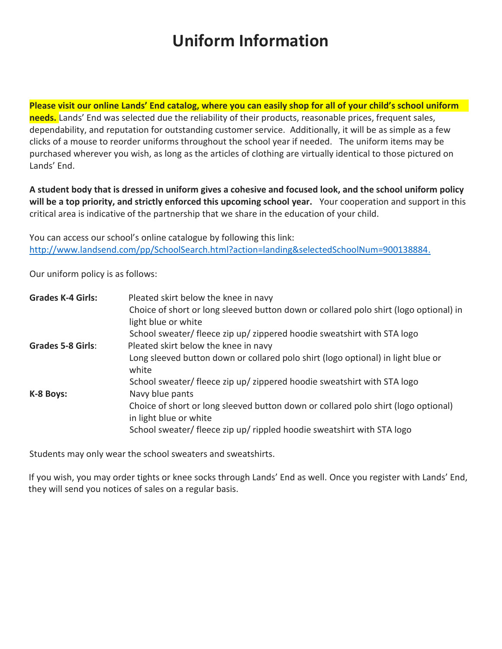## **Uniform Information**

**Please visit our online Lands' End catalog, where you can easily shop for all of your child's school uniform needs.** Lands' End was selected due the reliability of their products, reasonable prices, frequent sales, dependability, and reputation for outstanding customer service. Additionally, it will be as simple as a few clicks of a mouse to reorder uniforms throughout the school year if needed. The uniform items may be purchased wherever you wish, as long as the articles of clothing are virtually identical to those pictured on Lands' End.

**A student body that is dressed in uniform gives a cohesive and focused look, and the school uniform policy will be a top priority, and strictly enforced this upcoming school year.** Your cooperation and support in this critical area is indicative of the partnership that we share in the education of your child.

You can access our school's online catalogue by following this link: [http://www.landsend.com/pp/SchoolSearch.html?action=landing&selectedSchoolNum=900138884.](http://www.landsend.com/pp/SchoolSearch.html?action=landing&selectedSchoolNum=900138884)

Our uniform policy is as follows:

| <b>Grades K-4 Girls:</b> | Pleated skirt below the knee in navy                                                      |
|--------------------------|-------------------------------------------------------------------------------------------|
|                          | Choice of short or long sleeved button down or collared polo shirt (logo optional) in     |
|                          | light blue or white                                                                       |
|                          | School sweater/ fleece zip up/ zippered hoodie sweatshirt with STA logo                   |
| <b>Grades 5-8 Girls:</b> | Pleated skirt below the knee in navy                                                      |
|                          | Long sleeved button down or collared polo shirt (logo optional) in light blue or<br>white |
|                          | School sweater/ fleece zip up/ zippered hoodie sweatshirt with STA logo                   |
| K-8 Boys:                | Navy blue pants                                                                           |
|                          | Choice of short or long sleeved button down or collared polo shirt (logo optional)        |
|                          | in light blue or white                                                                    |
|                          | School sweater/ fleece zip up/ rippled hoodie sweatshirt with STA logo                    |

Students may only wear the school sweaters and sweatshirts.

If you wish, you may order tights or knee socks through Lands' End as well. Once you register with Lands' End, they will send you notices of sales on a regular basis.